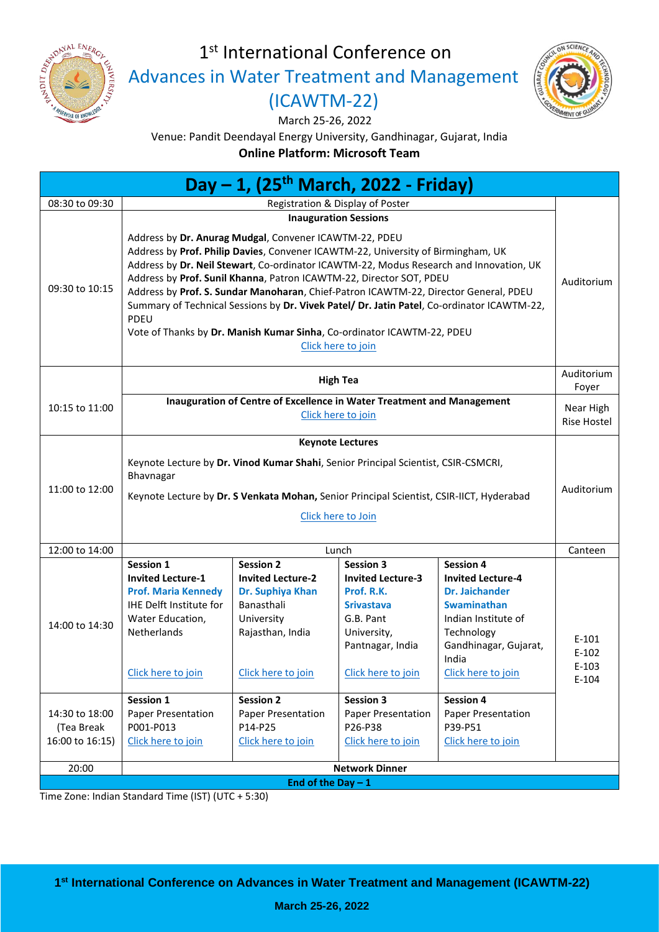

# 1st International Conference on

[Advances in Water Treatment and Management](https://www.pdeu-h2o.com/)

## [\(ICAWTM-22\)](https://www.pdeu-h2o.com/)

March 25-26, 2022



Venue: Pandit Deendayal Energy University, Gandhinagar, Gujarat, India

**Online Platform: Microsoft Team**

| Day - 1, (25 <sup>th</sup> March, 2022 - Friday)                  |                                                                                                                                                                                                                                                                                                                                                                                                                                                                                                                                                                                                           |                                                                                                                                                                                                                   |                                                                                                                                                                                                                                  |                                                                                                                                                                                                                                                                     |                                          |  |  |  |  |
|-------------------------------------------------------------------|-----------------------------------------------------------------------------------------------------------------------------------------------------------------------------------------------------------------------------------------------------------------------------------------------------------------------------------------------------------------------------------------------------------------------------------------------------------------------------------------------------------------------------------------------------------------------------------------------------------|-------------------------------------------------------------------------------------------------------------------------------------------------------------------------------------------------------------------|----------------------------------------------------------------------------------------------------------------------------------------------------------------------------------------------------------------------------------|---------------------------------------------------------------------------------------------------------------------------------------------------------------------------------------------------------------------------------------------------------------------|------------------------------------------|--|--|--|--|
| 08:30 to 09:30                                                    | Registration & Display of Poster                                                                                                                                                                                                                                                                                                                                                                                                                                                                                                                                                                          |                                                                                                                                                                                                                   |                                                                                                                                                                                                                                  |                                                                                                                                                                                                                                                                     |                                          |  |  |  |  |
|                                                                   | <b>Inauguration Sessions</b>                                                                                                                                                                                                                                                                                                                                                                                                                                                                                                                                                                              |                                                                                                                                                                                                                   |                                                                                                                                                                                                                                  |                                                                                                                                                                                                                                                                     |                                          |  |  |  |  |
| 09:30 to 10:15                                                    | Address by Dr. Anurag Mudgal, Convener ICAWTM-22, PDEU<br>Address by Prof. Philip Davies, Convener ICAWTM-22, University of Birmingham, UK<br>Address by Dr. Neil Stewart, Co-ordinator ICAWTM-22, Modus Research and Innovation, UK<br>Address by Prof. Sunil Khanna, Patron ICAWTM-22, Director SOT, PDEU<br>Address by Prof. S. Sundar Manoharan, Chief-Patron ICAWTM-22, Director General, PDEU<br>Summary of Technical Sessions by Dr. Vivek Patel/ Dr. Jatin Patel, Co-ordinator ICAWTM-22,<br>PDEU<br>Vote of Thanks by Dr. Manish Kumar Sinha, Co-ordinator ICAWTM-22, PDEU<br>Click here to join |                                                                                                                                                                                                                   |                                                                                                                                                                                                                                  |                                                                                                                                                                                                                                                                     |                                          |  |  |  |  |
|                                                                   | <b>High Tea</b>                                                                                                                                                                                                                                                                                                                                                                                                                                                                                                                                                                                           |                                                                                                                                                                                                                   |                                                                                                                                                                                                                                  |                                                                                                                                                                                                                                                                     |                                          |  |  |  |  |
| 10:15 to 11:00                                                    | Inauguration of Centre of Excellence in Water Treatment and Management<br>Click here to join                                                                                                                                                                                                                                                                                                                                                                                                                                                                                                              |                                                                                                                                                                                                                   |                                                                                                                                                                                                                                  |                                                                                                                                                                                                                                                                     |                                          |  |  |  |  |
|                                                                   | <b>Keynote Lectures</b>                                                                                                                                                                                                                                                                                                                                                                                                                                                                                                                                                                                   |                                                                                                                                                                                                                   |                                                                                                                                                                                                                                  |                                                                                                                                                                                                                                                                     |                                          |  |  |  |  |
| 11:00 to 12:00                                                    | Keynote Lecture by Dr. Vinod Kumar Shahi, Senior Principal Scientist, CSIR-CSMCRI,<br>Bhavnagar                                                                                                                                                                                                                                                                                                                                                                                                                                                                                                           |                                                                                                                                                                                                                   |                                                                                                                                                                                                                                  |                                                                                                                                                                                                                                                                     |                                          |  |  |  |  |
|                                                                   | Keynote Lecture by Dr. S Venkata Mohan, Senior Principal Scientist, CSIR-IICT, Hyderabad<br>Click here to Join                                                                                                                                                                                                                                                                                                                                                                                                                                                                                            |                                                                                                                                                                                                                   |                                                                                                                                                                                                                                  |                                                                                                                                                                                                                                                                     |                                          |  |  |  |  |
| 12:00 to 14:00                                                    | Lunch                                                                                                                                                                                                                                                                                                                                                                                                                                                                                                                                                                                                     |                                                                                                                                                                                                                   |                                                                                                                                                                                                                                  |                                                                                                                                                                                                                                                                     |                                          |  |  |  |  |
| 14:00 to 14:30<br>14:30 to 18:00<br>(Tea Break<br>16:00 to 16:15) | Session 1<br><b>Invited Lecture-1</b><br><b>Prof. Maria Kennedy</b><br><b>IHE Delft Institute for</b><br>Water Education,<br><b>Netherlands</b><br>Click here to join<br>Session 1<br>Paper Presentation<br>P001-P013<br>Click here to join                                                                                                                                                                                                                                                                                                                                                               | <b>Session 2</b><br><b>Invited Lecture-2</b><br>Dr. Suphiya Khan<br>Banasthali<br>University<br>Rajasthan, India<br>Click here to join<br><b>Session 2</b><br>Paper Presentation<br>P14-P25<br>Click here to join | <b>Session 3</b><br><b>Invited Lecture-3</b><br>Prof. R.K.<br><b>Srivastava</b><br>G.B. Pant<br>University,<br>Pantnagar, India<br>Click here to join<br><b>Session 3</b><br>Paper Presentation<br>P26-P38<br>Click here to join | <b>Session 4</b><br><b>Invited Lecture-4</b><br><b>Dr. Jaichander</b><br><b>Swaminathan</b><br>Indian Institute of<br>Technology<br>Gandhinagar, Gujarat,<br>India<br>Click here to join<br><b>Session 4</b><br>Paper Presentation<br>P39-P51<br>Click here to join | $E-101$<br>$E-102$<br>$E-103$<br>$E-104$ |  |  |  |  |
|                                                                   |                                                                                                                                                                                                                                                                                                                                                                                                                                                                                                                                                                                                           |                                                                                                                                                                                                                   |                                                                                                                                                                                                                                  |                                                                                                                                                                                                                                                                     |                                          |  |  |  |  |
| 20:00                                                             | <b>Network Dinner</b>                                                                                                                                                                                                                                                                                                                                                                                                                                                                                                                                                                                     |                                                                                                                                                                                                                   |                                                                                                                                                                                                                                  |                                                                                                                                                                                                                                                                     |                                          |  |  |  |  |
| End of the Day $-1$                                               |                                                                                                                                                                                                                                                                                                                                                                                                                                                                                                                                                                                                           |                                                                                                                                                                                                                   |                                                                                                                                                                                                                                  |                                                                                                                                                                                                                                                                     |                                          |  |  |  |  |

Time Zone: Indian Standard Time (IST) (UTC + 5:30)